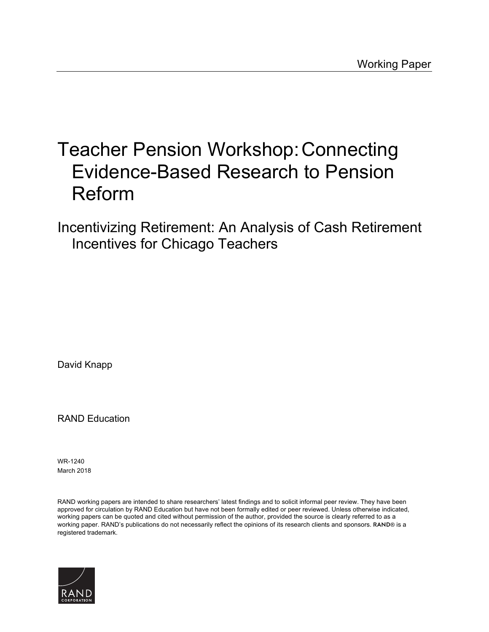# [Teacher Pension Workshop:Connecting](https://www.rand.org/pubs/working_papers/WR1240.html)  Evidence-Based Research to Pension Reform

Incentivizing Retirement: An Analysis of Cash Retirement Incentives for Chicago Teachers

David Knapp

RAND Education

WR-1240 March 2018

RAND working papers are intended to share researchers' latest findings and to solicit informal peer review. They have been approved for circulation by RAND Education but have not been formally edited or peer reviewed. Unless otherwise indicated, working papers can be quoted and cited without permission of the author, provided the source is clearly referred to as a working paper. RAND's publications do not necessarily reflect the opinions of its research clients and sponsors. RAND® is a registered trademark.

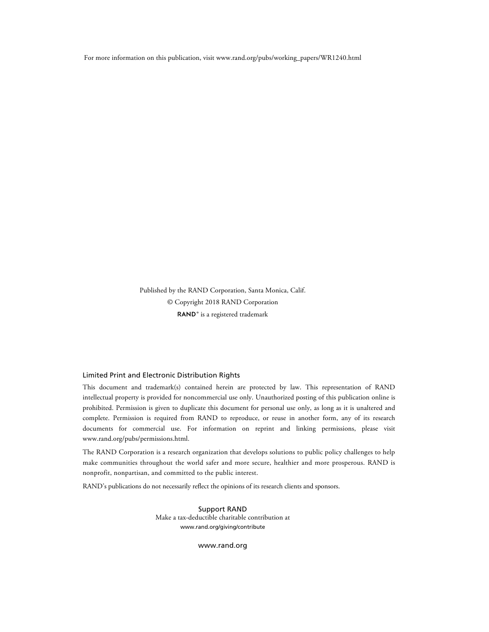For more information on this publication, visit [www.rand.org/pubs/working\\_papers/WR1240.html](http://www.rand.org/pubs/working_papers/WR1240.html)

Published by the RAND Corporation, Santa Monica, Calif. © Copyright 2018 RAND Corporation RAND<sup>®</sup> is a registered trademark

#### Limited Print and Electronic Distribution Rights

This document and trademark(s) contained herein are protected by law. This representation of RAND intellectual property is provided for noncommercial use only. Unauthorized posting of this publication online is prohibited. Permission is given to duplicate this document for personal use only, as long as it is unaltered and complete. Permission is required from RAND to reproduce, or reuse in another form, any of its research documents for commercial use. For information on reprint and linking permissions, please visit [www.rand.org/pubs/permissions.html.](http://www.rand.org/pubs/permissions.html)

The RAND Corporation is a research organization that develops solutions to public policy challenges to help make communities throughout the world safer and more secure, healthier and more prosperous. RAND is nonprofit, nonpartisan, and committed to the public interest.

RAND's publications do not necessarily reflect the opinions of its research clients and sponsors.

Support RAND Make a tax-deductible charitable contribution at [www.rand.org/giving/contribute](http://www.rand.org/giving/contribute)

[www.rand.org](http://www.rand.org)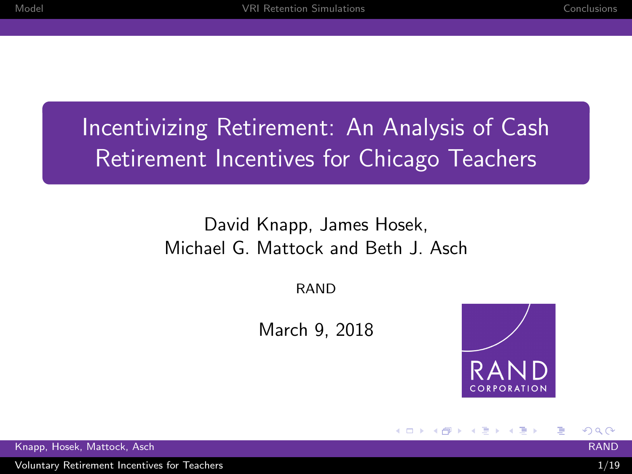## Incentivizing Retirement: An Analysis of Cash Retirement Incentives for Chicago Teachers

#### David Knapp, James Hosek, Michael G. Mattock and Beth J. Asch

RAND

March 9, 2018



イロメ イ押メ イヨメ イヨメ

 $\Omega$ 

Ε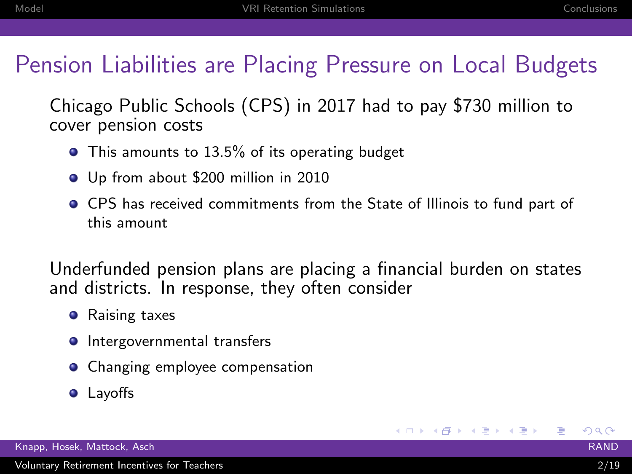## Pension Liabilities are Placing Pressure on Local Budgets

Chicago Public Schools (CPS) in 2017 had to pay \$730 million to cover pension costs

- This amounts to 13.5% of its operating budget
- Up from about \$200 million in 2010
- CPS has received commitments from the State of Illinois to fund part of this amount

Underfunded pension plans are placing a financial burden on states and districts. In response, they often consider

- **•** Raising taxes
- **Intergovernmental transfers**
- Changing employee compensation
- **•** Layoffs

 $209$ 

K ロ ▶ K @ ▶ K 경 ▶ K 경 ▶ 《 경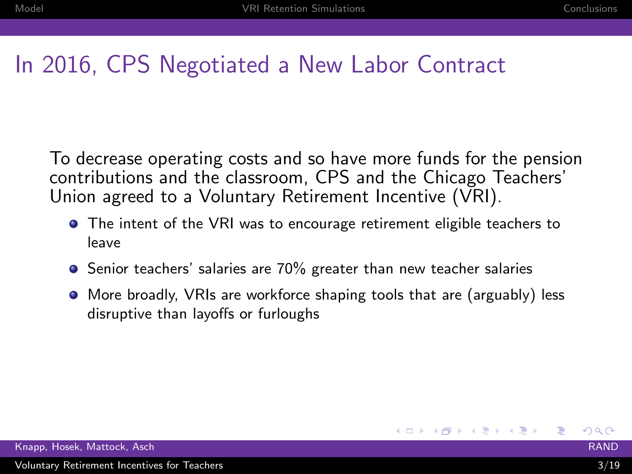## In 2016, CPS Negotiated a New Labor Contract

To decrease operating costs and so have more funds for the pension contributions and the classroom, CPS and the Chicago Teachers' Union agreed to a Voluntary Retirement Incentive (VRI).

- The intent of the VRI was to encourage retirement eligible teachers to leave
- **•** Senior teachers' salaries are 70% greater than new teacher salaries
- More broadly, VRIs are workforce shaping tools that are (arguably) less disruptive than layoffs or furloughs

 $209$ 

重

イロト イ押ト イヨト イヨト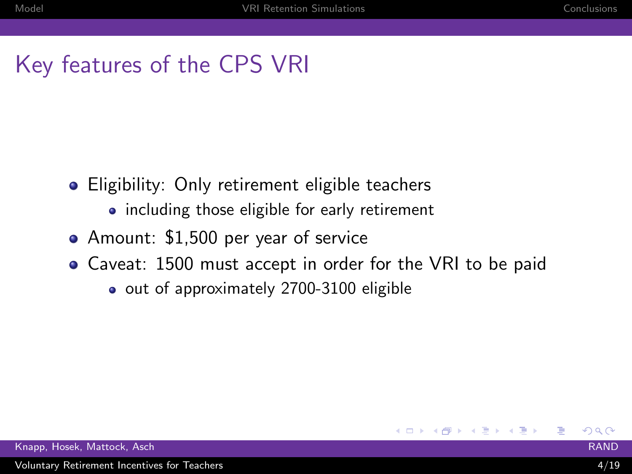## Key features of the CPS VRI

- **•** Eligibility: Only retirement eligible teachers
	- including those eligible for early retirement
- Amount: \$1,500 per year of service
- Caveat: 1500 must accept in order for the VRI to be paid

**K ロ ▶ K 何 ▶** 

→ 重→

o out of approximately 2700-3100 eligible

 $\Omega$ 

Ε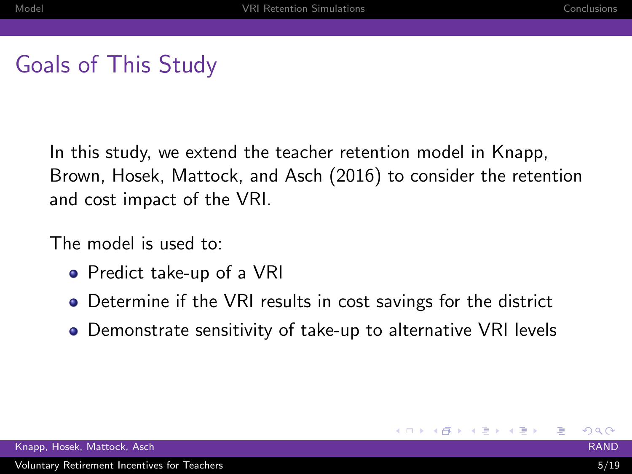## Goals of This Study

In this study, we extend the teacher retention model in Knapp, Brown, Hosek, Mattock, and Asch (2016) to consider the retention and cost impact of the VRI.

The model is used to:

- Predict take-up of a VRI
- Determine if the VRI results in cost savings for the district
- Demonstrate sensitivity of take-up to alternative VRI levels

**K ロ ▶ K 何 ▶ K ヨ ▶** 

 $209$ 

重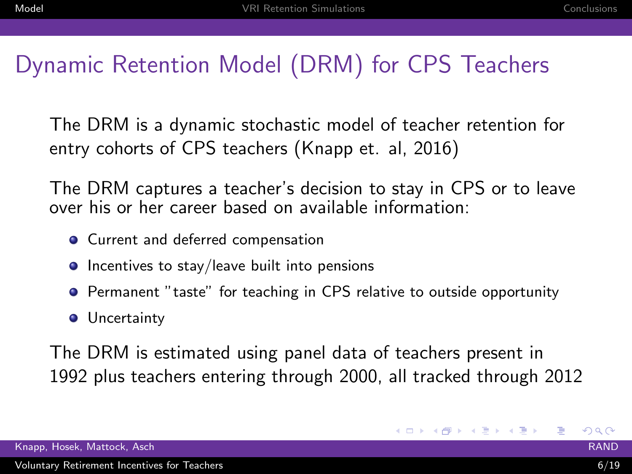## Dynamic Retention Model (DRM) for CPS Teachers

The DRM is a dynamic stochastic model of teacher retention for entry cohorts of CPS teachers (Knapp et. al, 2016)

The DRM captures a teacher's decision to stay in CPS or to leave over his or her career based on available information:

- **•** Current and deferred compensation
- **Incentives to stay/leave built into pensions**
- Permanent "taste" for teaching in CPS relative to outside opportunity
- **·** Uncertainty

The DRM is estimated using panel data of teachers present in 1992 plus teachers entering through 2000, all tracked through 2012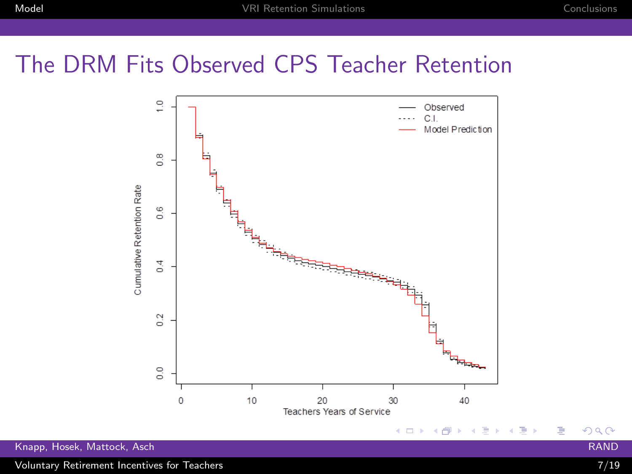## The DRM Fits Observed CPS Teacher Retention



Voluntary Retirement Incentives for Teachers 7/19

 $299$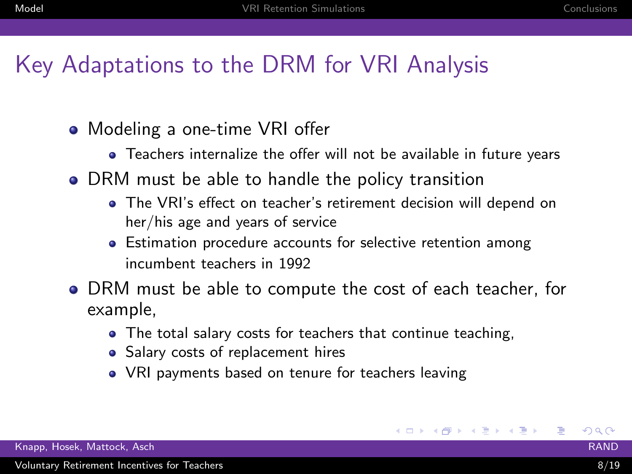## Key Adaptations to the DRM for VRI Analysis

- Modeling a one-time VRI offer
	- Teachers internalize the offer will not be available in future years
- DRM must be able to handle the policy transition
	- The VRI's effect on teacher's retirement decision will depend on her/his age and years of service
	- Estimation procedure accounts for selective retention among incumbent teachers in 1992
- DRM must be able to compute the cost of each teacher, for example,
	- The total salary costs for teachers that continue teaching,
	- Salary costs of replacement hires
	- VRI payments based on tenure for teachers leaving

 $200$ 

目

キロメ メ都 メメ きょうぼきょ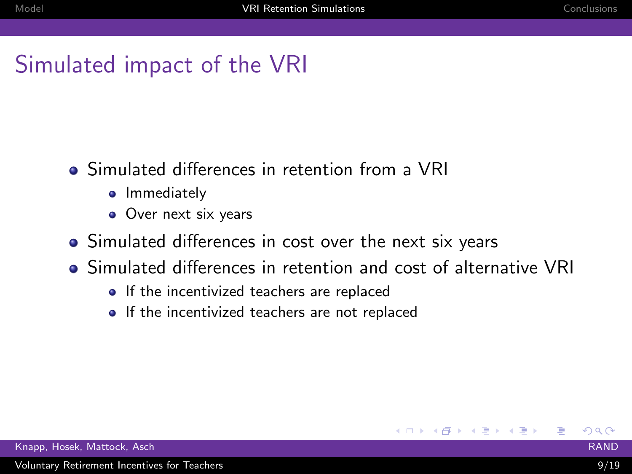## Simulated impact of the VRI

- Simulated differences in retention from a VRI
	- Immediately
	- Over next six years
- Simulated differences in cost over the next six years
- Simulated differences in retention and cost of alternative VRI
	- If the incentivized teachers are replaced
	- If the incentivized teachers are not replaced

 $\Omega$ 

Ε

K ロ ▶ K 御 ▶ K 君 ▶ K 君 ▶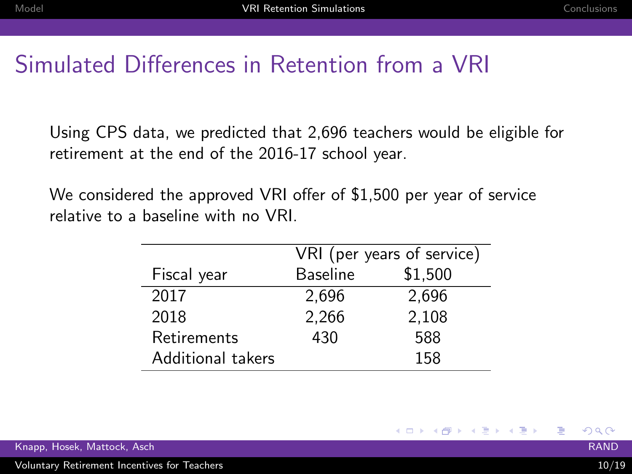## Simulated Differences in Retention from a VRI

Using CPS data, we predicted that 2,696 teachers would be eligible for retirement at the end of the 2016-17 school year.

We considered the approved VRI offer of \$1,500 per year of service relative to a baseline with no VRI.

|                   | VRI (per years of service) |         |  |
|-------------------|----------------------------|---------|--|
| Fiscal year       | <b>Baseline</b>            | \$1,500 |  |
| 2017              | 2,696                      | 2,696   |  |
| 2018              | 2,266                      | 2,108   |  |
| Retirements       | 430                        | 588     |  |
| Additional takers |                            | 158     |  |

 $200$ 

K ロ ▶ K 個 ▶ K 경 ▶ K 경 ▶ │ 경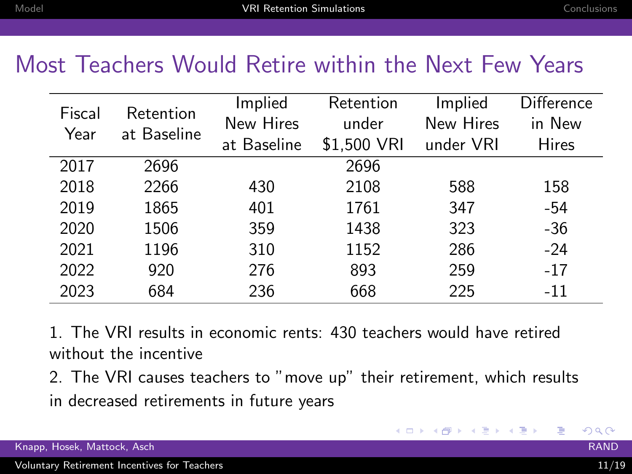#### Most Teachers Would Retire within the Next Few Years

| Fiscal | Retention   | Implied     | Retention   | Implied   | <b>Difference</b> |
|--------|-------------|-------------|-------------|-----------|-------------------|
| Year   | at Baseline | New Hires   | under       | New Hires | in New            |
|        |             | at Baseline | \$1,500 VRI | under VRI | Hires             |
| 2017   | 2696        |             | 2696        |           |                   |
| 2018   | 2266        | 430         | 2108        | 588       | 158               |
| 2019   | 1865        | 401         | 1761        | 347       | $-54$             |
| 2020   | 1506        | 359         | 1438        | 323       | $-36$             |
| 2021   | 1196        | 310         | 1152        | 286       | $-24$             |
| 2022   | 920         | 276         | 893         | 259       | $-17$             |
| 2023   | 684         | 236         | 668         | 225       | $-11$             |

1. The VRI results in economic rents: 430 teachers would have retired without the incentive

2. The VRI causes teachers to "move up" their retirement, which results in decreased retirements in future years

 $200$ 

G.

イロメ イ部メ イ君メ イ君メー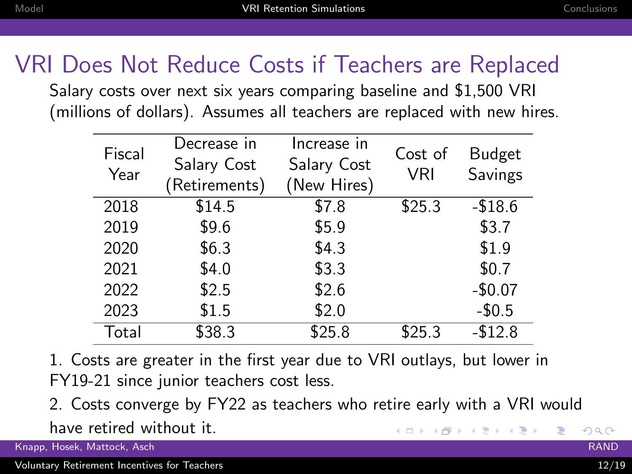## VRI Does Not Reduce Costs if Teachers are Replaced

Salary costs over next six years comparing baseline and \$1,500 VRI (millions of dollars). Assumes all teachers are replaced with new hires.

| Fiscal<br>Year | Decrease in<br>Salary Cost | Increase in<br>Salary Cost | Cost of<br><b>VRI</b> | <b>Budget</b><br>Savings |
|----------------|----------------------------|----------------------------|-----------------------|--------------------------|
| 2018           | (Retirements)<br>\$14.5    | (New Hires)<br>\$7.8       | \$25.3                | $-$18.6$                 |
| 2019           | \$9.6                      | \$5.9                      |                       | \$3.7                    |
| 2020           | \$6.3                      | \$4.3                      |                       | \$1.9                    |
| 2021           | \$4.0                      | \$3.3                      |                       | \$0.7                    |
| 2022           | \$2.5                      | \$2.6                      |                       | $-$0.07$                 |
| 2023           | \$1.5                      | \$2.0                      |                       | $-$0.5$                  |
| Total          | \$38.3                     | \$25.8                     | \$25.3                | $-$12.8$                 |

1. Costs are greater in the first year due to VRI outlays, but lower in FY19-21 since junior teachers cost less.

2. Costs converge by FY22 as teachers who retire early with a VRI would have retired without it. キロメ メ都 メメ きょうくきょう Ε  $200$ 

Knapp, Hosek, Mattock, Asch RAND

Voluntary Retirement Incentives for Teachers 12/19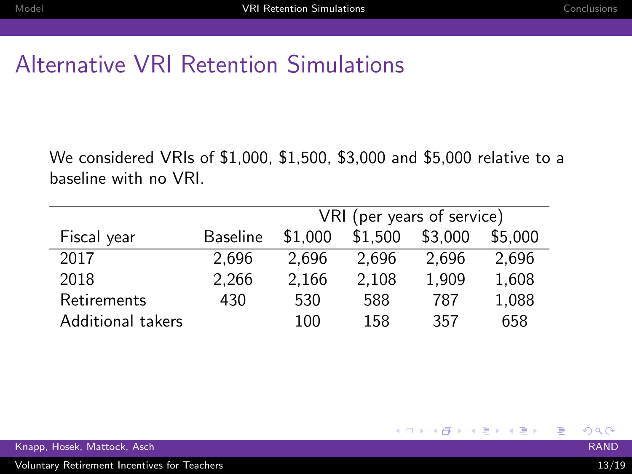## Alternative VRI Retention Simulations

We considered VRIs of \$1,000, \$1,500, \$3,000 and \$5,000 relative to a baseline with no VRI.

|                   |                 | VRI (per years of service) |         |         |         |
|-------------------|-----------------|----------------------------|---------|---------|---------|
| Fiscal year       | <b>Baseline</b> | \$1.000                    | \$1.500 | \$3,000 | \$5.000 |
| 2017              | 2.696           | 2.696                      | 2.696   | 2.696   | 2,696   |
| 2018              | 2,266           | 2.166                      | 2.108   | 1.909   | 1,608   |
| Retirements       | 430             | 530                        | 588     | 787     | 1,088   |
| Additional takers |                 | 100                        | 158     | 357     | 658     |

 $298$ 

G.

キロメ メ都 メメ きょうぼきょ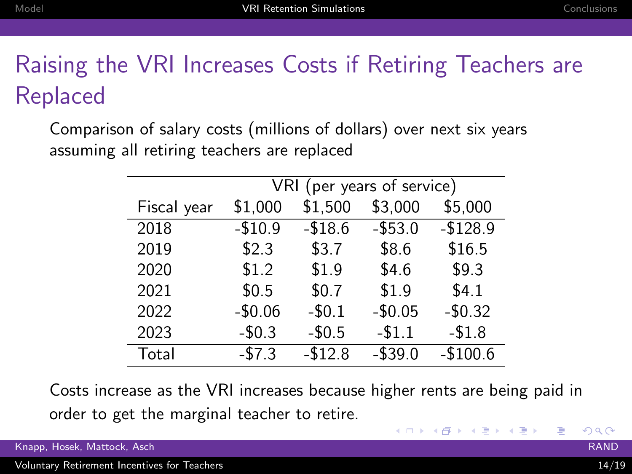## Raising the VRI Increases Costs if Retiring Teachers are Replaced

Comparison of salary costs (millions of dollars) over next six years assuming all retiring teachers are replaced

|             | VRI (per years of service) |          |          |           |
|-------------|----------------------------|----------|----------|-----------|
| Fiscal year | \$1,000                    | \$1,500  | \$3,000  | \$5,000   |
| 2018        | $-$10.9$                   | $-$18.6$ | $-$53.0$ | $-$128.9$ |
| 2019        | \$2.3                      | \$3.7    | \$8.6    | \$16.5    |
| 2020        | \$1.2                      | \$1.9    | \$4.6    | \$9.3     |
| 2021        | \$0.5                      | \$0.7    | \$1.9    | \$4.1     |
| 2022        | $-$0.06$                   | $-50.1$  | $-$0.05$ | $-$0.32$  |
| 2023        | $-$0.3$                    | $-50.5$  | $-$1.1$  | $-$1.8$   |
| Total       | $-57.3$                    | $-$12.8$ | $-$39.0$ | $-$100.6$ |

Costs increase as the VRI increases because higher rents are being paid in order to get the marginal teacher to retire.

Knapp, Hosek, Mattock, Asch RAND

 $QQ$ 

Ε

イロメ イ部メ イヨメ イヨメー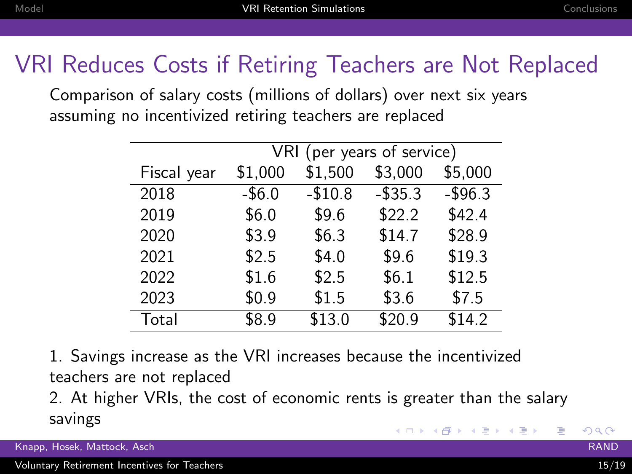## VRI Reduces Costs if Retiring Teachers are Not Replaced

Comparison of salary costs (millions of dollars) over next six years assuming no incentivized retiring teachers are replaced

|             | VRI (per years of service) |          |          |          |
|-------------|----------------------------|----------|----------|----------|
| Fiscal year | \$1,000                    | \$1,500  | \$3,000  | \$5,000  |
| 2018        | $-$6.0$                    | $-$10.8$ | $-$35.3$ | $-$96.3$ |
| 2019        | \$6.0                      | \$9.6    | \$22.2   | \$42.4   |
| 2020        | \$3.9                      | \$6.3    | \$14.7   | \$28.9   |
| 2021        | \$2.5                      | \$4.0    | \$9.6    | \$19.3   |
| 2022        | \$1.6                      | \$2.5    | \$6.1    | \$12.5   |
| 2023        | \$0.9                      | \$1.5    | \$3.6    | \$7.5    |
| Total       | \$8.9                      | \$13.0   | \$20.9   | \$14.2   |

1. Savings increase as the VRI increases because the incentivized teachers are not replaced

2. At higher VRIs, the cost of economic rents is greater than the salary savings  $\left\{ \begin{array}{ccc} 1 & 0 & 0 \\ 0 & 1 & 0 \end{array} \right\}$  ,  $\left\{ \begin{array}{ccc} 0 & 0 & 0 \\ 0 & 0 & 0 \end{array} \right\}$ Ε

 $\Omega$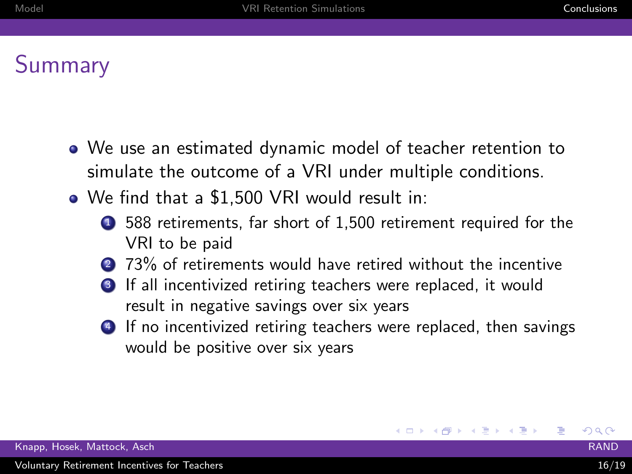## Summary

- We use an estimated dynamic model of teacher retention to simulate the outcome of a VRI under multiple conditions.
- We find that a \$1,500 VRI would result in:
	- <sup>1</sup> 588 retirements, far short of 1,500 retirement required for the VRI to be paid
	- 2 73% of retirements would have retired without the incentive
	- **3** If all incentivized retiring teachers were replaced, it would result in negative savings over six years
	- **4** If no incentivized retiring teachers were replaced, then savings would be positive over six years

 $QQ$ 

重

∢ ロ ⊁ ( x 伊 ≯ ( を ≯ ) ( を ≯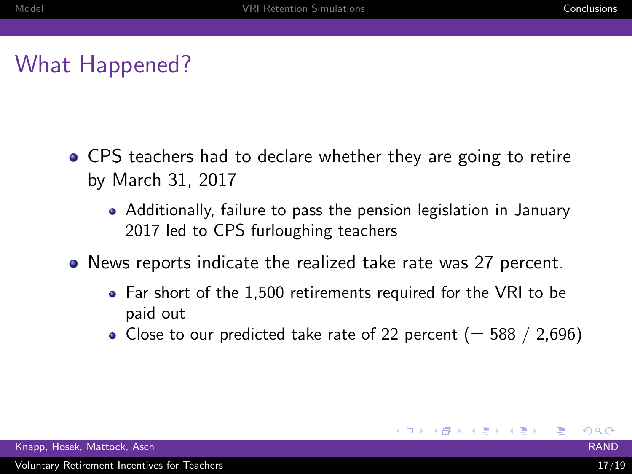## What Happened?

- CPS teachers had to declare whether they are going to retire by March 31, 2017
	- Additionally, failure to pass the pension legislation in January 2017 led to CPS furloughing teachers
- News reports indicate the realized take rate was 27 percent.
	- Far short of the 1,500 retirements required for the VRI to be paid out
	- Close to our predicted take rate of 22 percent ( $=$  588 / 2,696)

∢ ロ ⊁ ( x 伊 ≯ ( を ≯ ) ( を ≯

 $200$ 

重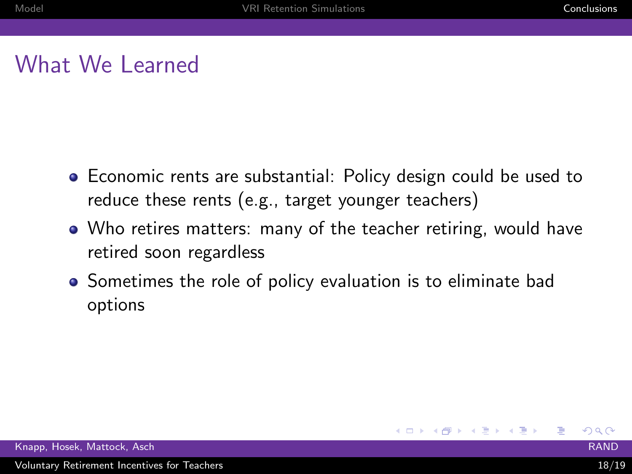## What We Learned

- Economic rents are substantial: Policy design could be used to reduce these rents (e.g., target younger teachers)
- Who retires matters: many of the teacher retiring, would have retired soon regardless
- Sometimes the role of policy evaluation is to eliminate bad options

 $200$ 

重

∢ ロ ▶ ( n 伊 ▶ ( 《 唐 ▶ ( 4 唐 ▶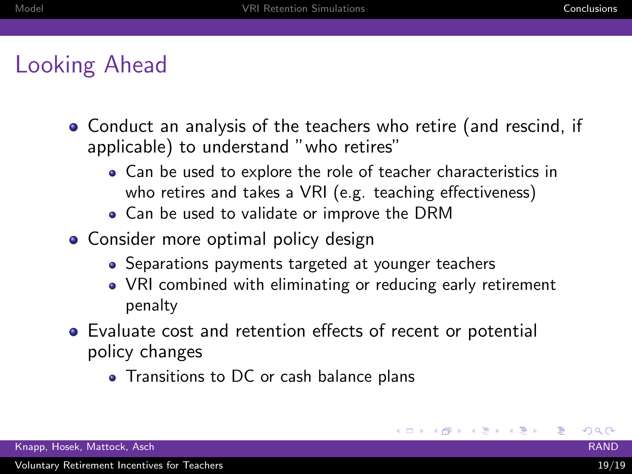## Looking Ahead

- Conduct an analysis of the teachers who retire (and rescind, if applicable) to understand "who retires"
	- Can be used to explore the role of teacher characteristics in who retires and takes a VRI (e.g. teaching effectiveness)
	- Can be used to validate or improve the DRM
- Consider more optimal policy design
	- Separations payments targeted at younger teachers
	- VRI combined with eliminating or reducing early retirement penalty
- Evaluate cost and retention effects of recent or potential policy changes
	- Transitions to DC or cash balance plans

 $200$ 

G.

イロメ イ部メ イ君メ イ君メー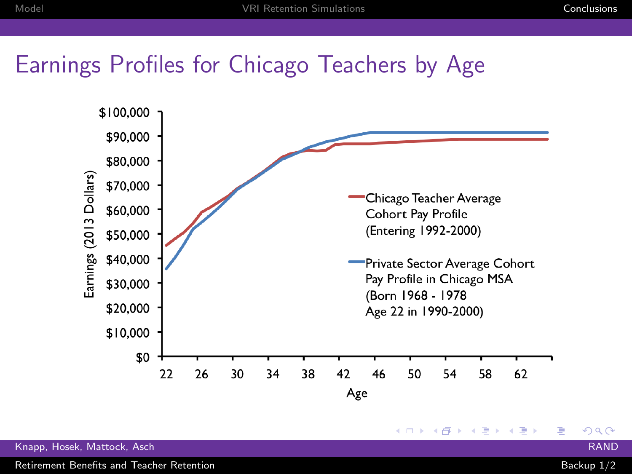#### Earnings Profiles for Chicago Teachers by Age



Knapp, Hosek, Mattock, Asch RAND

Retirement Benefits and Teacher Retention **Backup 1/2** and Teacher Retention Backup 1/2

 $299$ 

重

**◆ ロ ▶ → 何**  $\rightarrow$  $\leftarrow$   $\equiv$  $\mathbf{p}$  $\mathbf{q}$  . 目 Þ